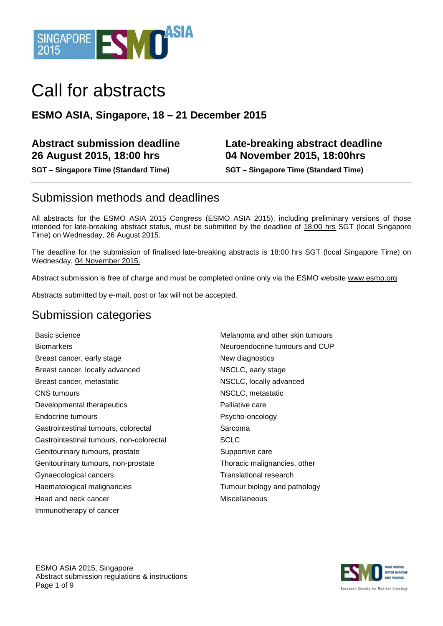

# Call for abstracts

#### **ESMO ASIA, Singapore, 18 – 21 December 2015**

#### **Abstract submission deadline 26 August 2015, 18:00 hrs**

**SGT – Singapore Time (Standard Time) SGT – Singapore Time (Standard Time)**

#### **Late-breaking abstract deadline 04 November 2015, 18:00hrs**

### Submission methods and deadlines

All abstracts for the ESMO ASIA 2015 Congress (ESMO ASIA 2015), including preliminary versions of those intended for late-breaking abstract status, must be submitted by the deadline of 18:00 hrs SGT (local Singapore Time) on Wednesday, 26 August 2015.

The deadline for the submission of finalised late-breaking abstracts is 18:00 hrs SGT (local Singapore Time) on Wednesday, 04 November 2015.

Abstract submission is free of charge and must be completed online only via the ESMO website [www.esmo.org](http://www.esmo.org/)

Abstracts submitted by e-mail, post or fax will not be accepted.

#### Submission categories

Basic science Melanoma and other skin tumours Biomarkers **Neuroendocrine tumours and CUP** Breast cancer, early stage New diagnostics Breast cancer, locally advanced NSCLC, early stage Breast cancer, metastatic **NSCLC**, locally advanced CNS tumours NSCLC, metastatic Developmental therapeutics **Palliative Care** Endocrine tumours **Parameter Contract Endocrine tumours** Psycho-oncology Gastrointestinal tumours, colorectal Sarcoma Gastrointestinal tumours, non-colorectal SCLC Genitourinary tumours, prostate Supportive care Genitourinary tumours, non-prostate Thoracic malignancies, other Gynaecological cancers Translational research Haematological malignancies Tumour biology and pathology Head and neck cancer Miscellaneous Immunotherapy of cancer

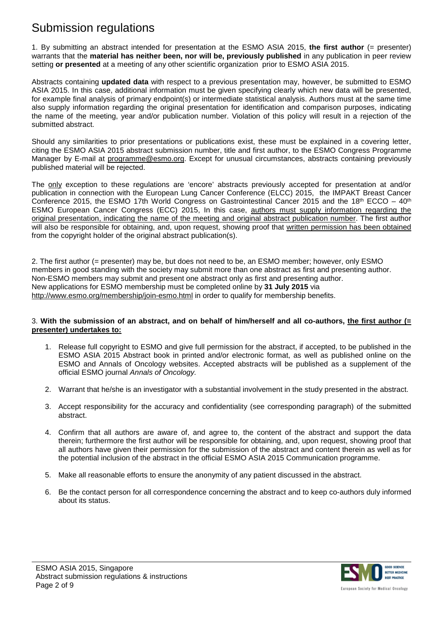### Submission regulations

1. By submitting an abstract intended for presentation at the ESMO ASIA 2015, **the first author** (= presenter) warrants that the **material has neither been, nor will be, previously published** in any publication in peer review setting **or presented** at a meeting of any other scientific organization prior to ESMO ASIA 2015.

Abstracts containing **updated data** with respect to a previous presentation may, however, be submitted to ESMO ASIA 2015. In this case, additional information must be given specifying clearly which new data will be presented, for example final analysis of primary endpoint(s) or intermediate statistical analysis. Authors must at the same time also supply information regarding the original presentation for identification and comparison purposes, indicating the name of the meeting, year and/or publication number. Violation of this policy will result in a rejection of the submitted abstract.

Should any similarities to prior presentations or publications exist, these must be explained in a covering letter, citing the ESMO ASIA 2015 abstract submission number, title and first author, to the ESMO Congress Programme Manager by E-mail at [programme@esmo.org.](mailto:program@esmo.org) Except for unusual circumstances, abstracts containing previously published material will be rejected.

The only exception to these regulations are 'encore' abstracts previously accepted for presentation at and/or publication in connection with the European Lung Cancer Conference (ELCC) 2015, the IMPAKT Breast Cancer Conference 2015, the ESMO 17th World Congress on Gastrointestinal Cancer 2015 and the 18<sup>th</sup> ECCO – 40<sup>th</sup> ESMO European Cancer Congress (ECC) 2015, In this case, authors must supply information regarding the original presentation, indicating the name of the meeting and original abstract publication number. The first author will also be responsible for obtaining, and, upon request, showing proof that written permission has been obtained from the copyright holder of the original abstract publication(s).

2. The first author (= presenter) may be, but does not need to be, an ESMO member; however, only ESMO members in good standing with the society may submit more than one abstract as first and presenting author. Non-ESMO members may submit and present one abstract only as first and presenting author. New applications for ESMO membership must be completed online by **31 July 2015** via <http://www.esmo.org/membership/join-esmo.html> in order to qualify for membership benefits.

#### 3. **With the submission of an abstract, and on behalf of him/herself and all co-authors, the first author (= presenter) undertakes to:**

- 1. Release full copyright to ESMO and give full permission for the abstract, if accepted, to be published in the ESMO ASIA 2015 Abstract book in printed and/or electronic format, as well as published online on the ESMO and Annals of Oncology websites. Accepted abstracts will be published as a supplement of the official ESMO journal *Annals of Oncology.*
- 2. Warrant that he/she is an investigator with a substantial involvement in the study presented in the abstract.
- 3. Accept responsibility for the accuracy and confidentiality (see corresponding paragraph) of the submitted abstract.
- 4. Confirm that all authors are aware of, and agree to, the content of the abstract and support the data therein; furthermore the first author will be responsible for obtaining, and, upon request, showing proof that all authors have given their permission for the submission of the abstract and content therein as well as for the potential inclusion of the abstract in the official ESMO ASIA 2015 Communication programme.
- 5. Make all reasonable efforts to ensure the anonymity of any patient discussed in the abstract.
- 6. Be the contact person for all correspondence concerning the abstract and to keep co-authors duly informed about its status.

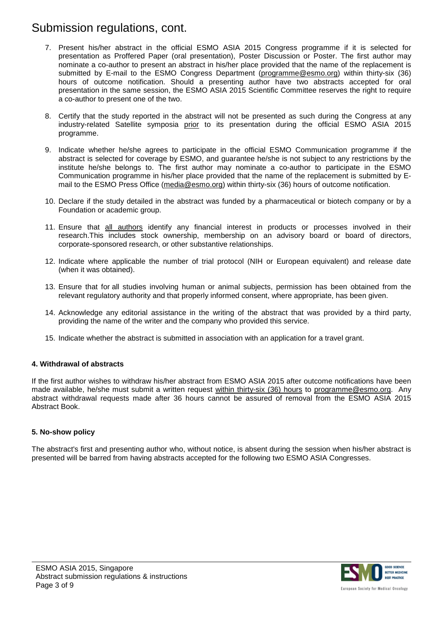### Submission regulations, cont.

- 7. Present his/her abstract in the official ESMO ASIA 2015 Congress programme if it is selected for presentation as Proffered Paper (oral presentation), Poster Discussion or Poster. The first author may nominate a co-author to present an abstract in his/her place provided that the name of the replacement is submitted by E-mail to the ESMO Congress Department [\(programme@esmo.org\)](mailto:program@esmo.org) within thirty-six (36) hours of outcome notification. Should a presenting author have two abstracts accepted for oral presentation in the same session, the ESMO ASIA 2015 Scientific Committee reserves the right to require a co-author to present one of the two.
- 8. Certify that the study reported in the abstract will not be presented as such during the Congress at any industry-related Satellite symposia prior to its presentation during the official ESMO ASIA 2015 programme.
- 9. Indicate whether he/she agrees to participate in the official ESMO Communication programme if the abstract is selected for coverage by ESMO, and guarantee he/she is not subject to any restrictions by the institute he/she belongs to. The first author may nominate a co-author to participate in the ESMO Communication programme in his/her place provided that the name of the replacement is submitted by Email to the ESMO Press Office (media@esmo.org) within thirty-six (36) hours of outcome notification.
- 10. Declare if the study detailed in the abstract was funded by a pharmaceutical or biotech company or by a Foundation or academic group.
- 11. Ensure that all authors identify any financial interest in products or processes involved in their research.This includes stock ownership, membership on an advisory board or board of directors, corporate-sponsored research, or other substantive relationships.
- 12. Indicate where applicable the number of trial protocol (NIH or European equivalent) and release date (when it was obtained).
- 13. Ensure that for all studies involving human or animal subjects, permission has been obtained from the relevant regulatory authority and that properly informed consent, where appropriate, has been given.
- 14. Acknowledge any editorial assistance in the writing of the abstract that was provided by a third party, providing the name of the writer and the company who provided this service.
- 15. Indicate whether the abstract is submitted in association with an application for a travel grant.

#### **4. Withdrawal of abstracts**

If the first author wishes to withdraw his/her abstract from ESMO ASIA 2015 after outcome notifications have been made available, he/she must submit a written request within thirty-six (36) hours to [programme@esmo.org.](mailto:program@esmo.org) Any abstract withdrawal requests made after 36 hours cannot be assured of removal from the ESMO ASIA 2015 Abstract Book.

#### **5. No-show policy**

The abstract's first and presenting author who, without notice, is absent during the session when his/her abstract is presented will be barred from having abstracts accepted for the following two ESMO ASIA Congresses.

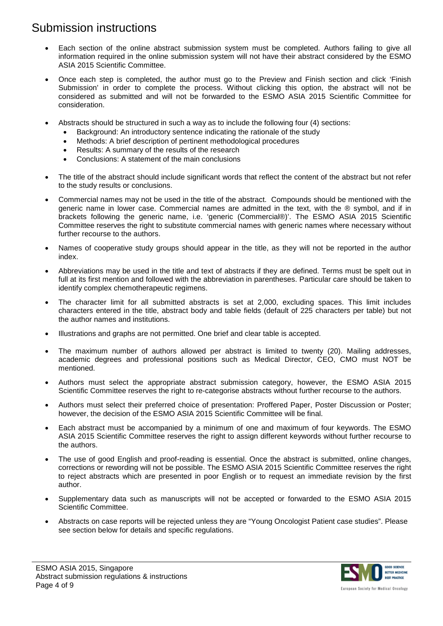### Submission instructions

- Each section of the online abstract submission system must be completed. Authors failing to give all information required in the online submission system will not have their abstract considered by the ESMO ASIA 2015 Scientific Committee.
- Once each step is completed, the author must go to the Preview and Finish section and click 'Finish Submission' in order to complete the process. Without clicking this option, the abstract will not be considered as submitted and will not be forwarded to the ESMO ASIA 2015 Scientific Committee for consideration.
- Abstracts should be structured in such a way as to include the following four (4) sections:
	- Background: An introductory sentence indicating the rationale of the study
	- Methods: A brief description of pertinent methodological procedures
	- Results: A summary of the results of the research
	- Conclusions: A statement of the main conclusions
- The title of the abstract should include significant words that reflect the content of the abstract but not refer to the study results or conclusions.
- Commercial names may not be used in the title of the abstract. Compounds should be mentioned with the generic name in lower case. Commercial names are admitted in the text, with the ® symbol, and if in brackets following the generic name, i.e. 'generic (Commercial®)'. The ESMO ASIA 2015 Scientific Committee reserves the right to substitute commercial names with generic names where necessary without further recourse to the authors.
- Names of cooperative study groups should appear in the title, as they will not be reported in the author index.
- Abbreviations may be used in the title and text of abstracts if they are defined. Terms must be spelt out in full at its first mention and followed with the abbreviation in parentheses. Particular care should be taken to identify complex chemotherapeutic regimens.
- The character limit for all submitted abstracts is set at 2,000, excluding spaces. This limit includes characters entered in the title, abstract body and table fields (default of 225 characters per table) but not the author names and institutions.
- Illustrations and graphs are not permitted. One brief and clear table is accepted.
- The maximum number of authors allowed per abstract is limited to twenty (20). Mailing addresses, academic degrees and professional positions such as Medical Director, CEO, CMO must NOT be mentioned.
- Authors must select the appropriate abstract submission category, however, the ESMO ASIA 2015 Scientific Committee reserves the right to re-categorise abstracts without further recourse to the authors.
- Authors must select their preferred choice of presentation: Proffered Paper, Poster Discussion or Poster; however, the decision of the ESMO ASIA 2015 Scientific Committee will be final.
- Each abstract must be accompanied by a minimum of one and maximum of four keywords. The ESMO ASIA 2015 Scientific Committee reserves the right to assign different keywords without further recourse to the authors.
- The use of good English and proof-reading is essential. Once the abstract is submitted, online changes, corrections or rewording will not be possible. The ESMO ASIA 2015 Scientific Committee reserves the right to reject abstracts which are presented in poor English or to request an immediate revision by the first author.
- Supplementary data such as manuscripts will not be accepted or forwarded to the ESMO ASIA 2015 Scientific Committee.
- Abstracts on case reports will be rejected unless they are "Young Oncologist Patient case studies". Please see section below for details and specific regulations.

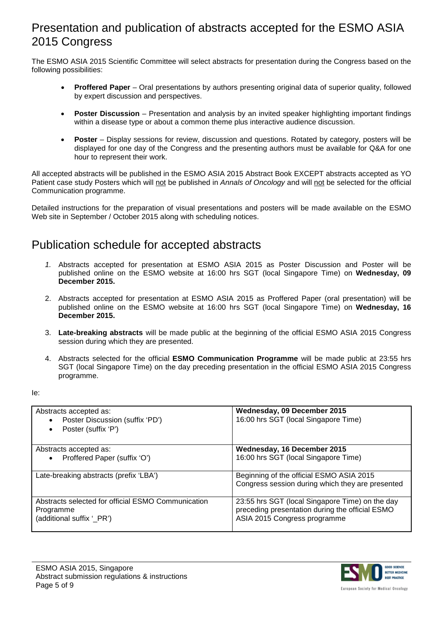### Presentation and publication of abstracts accepted for the ESMO ASIA 2015 Congress

The ESMO ASIA 2015 Scientific Committee will select abstracts for presentation during the Congress based on the following possibilities:

- **Proffered Paper** Oral presentations by authors presenting original data of superior quality, followed by expert discussion and perspectives.
- **Poster Discussion** Presentation and analysis by an invited speaker highlighting important findings within a disease type or about a common theme plus interactive audience discussion.
- **Poster** Display sessions for review, discussion and questions. Rotated by category, posters will be displayed for one day of the Congress and the presenting authors must be available for Q&A for one hour to represent their work.

All accepted abstracts will be published in the ESMO ASIA 2015 Abstract Book EXCEPT abstracts accepted as YO Patient case study Posters which will not be published in *Annals of Oncology* and will not be selected for the official Communication programme.

Detailed instructions for the preparation of visual presentations and posters will be made available on the ESMO Web site in September / October 2015 along with scheduling notices.

### Publication schedule for accepted abstracts

- *1.* Abstracts accepted for presentation at ESMO ASIA 2015 as Poster Discussion and Poster will be published online on the ESMO website at 16:00 hrs SGT (local Singapore Time) on **Wednesday, 09 December 2015.**
- 2. Abstracts accepted for presentation at ESMO ASIA 2015 as Proffered Paper (oral presentation) will be published online on the ESMO website at 16:00 hrs SGT (local Singapore Time) on **Wednesday, 16 December 2015.**
- 3. **Late-breaking abstracts** will be made public at the beginning of the official ESMO ASIA 2015 Congress session during which they are presented.
- 4. Abstracts selected for the official **ESMO Communication Programme** will be made public at 23:55 hrs SGT (local Singapore Time) on the day preceding presentation in the official ESMO ASIA 2015 Congress programme.
- Ie:

| Abstracts accepted as:<br>Poster Discussion (suffix 'PD')<br>$\bullet$<br>Poster (suffix 'P')<br>$\bullet$ | Wednesday, 09 December 2015<br>16:00 hrs SGT (local Singapore Time)                                                                |
|------------------------------------------------------------------------------------------------------------|------------------------------------------------------------------------------------------------------------------------------------|
| Abstracts accepted as:<br>Proffered Paper (suffix 'O')<br>$\bullet$                                        | Wednesday, 16 December 2015<br>16:00 hrs SGT (local Singapore Time)                                                                |
| Late-breaking abstracts (prefix 'LBA')                                                                     | Beginning of the official ESMO ASIA 2015<br>Congress session during which they are presented                                       |
| Abstracts selected for official ESMO Communication<br>Programme<br>(additional suffix '_PR')               | 23:55 hrs SGT (local Singapore Time) on the day<br>preceding presentation during the official ESMO<br>ASIA 2015 Congress programme |



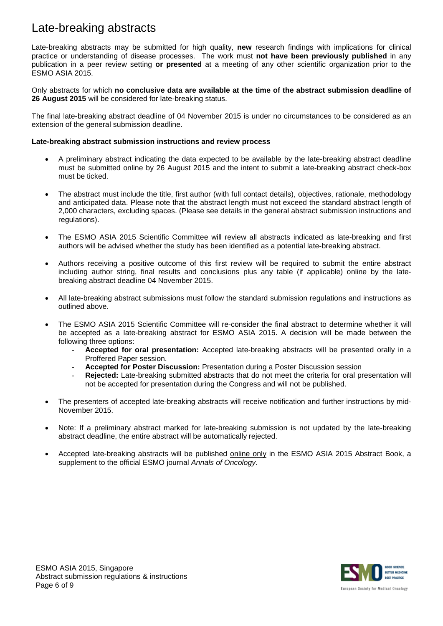### Late-breaking abstracts

Late-breaking abstracts may be submitted for high quality, **new** research findings with implications for clinical practice or understanding of disease processes. The work must **not have been previously published** in any publication in a peer review setting **or presented** at a meeting of any other scientific organization prior to the ESMO ASIA 2015.

Only abstracts for which **no conclusive data are available at the time of the abstract submission deadline of 26 August 2015** will be considered for late-breaking status.

The final late-breaking abstract deadline of 04 November 2015 is under no circumstances to be considered as an extension of the general submission deadline.

#### **Late-breaking abstract submission instructions and review process**

- A preliminary abstract indicating the data expected to be available by the late-breaking abstract deadline must be submitted online by 26 August 2015 and the intent to submit a late-breaking abstract check-box must be ticked.
- The abstract must include the title, first author (with full contact details), objectives, rationale, methodology and anticipated data. Please note that the abstract length must not exceed the standard abstract length of 2,000 characters, excluding spaces. (Please see details in the general abstract submission instructions and regulations).
- The ESMO ASIA 2015 Scientific Committee will review all abstracts indicated as late-breaking and first authors will be advised whether the study has been identified as a potential late-breaking abstract.
- Authors receiving a positive outcome of this first review will be required to submit the entire abstract including author string, final results and conclusions plus any table (if applicable) online by the latebreaking abstract deadline 04 November 2015.
- All late-breaking abstract submissions must follow the standard submission regulations and instructions as outlined above.
- The ESMO ASIA 2015 Scientific Committee will re-consider the final abstract to determine whether it will be accepted as a late-breaking abstract for ESMO ASIA 2015. A decision will be made between the following three options:
	- **Accepted for oral presentation:** Accepted late-breaking abstracts will be presented orally in a Proffered Paper session.
	- **Accepted for Poster Discussion:** Presentation during a Poster Discussion session
	- **Rejected:** Late-breaking submitted abstracts that do not meet the criteria for oral presentation will not be accepted for presentation during the Congress and will not be published.
- The presenters of accepted late-breaking abstracts will receive notification and further instructions by mid-November 2015.
- Note: If a preliminary abstract marked for late-breaking submission is not updated by the late-breaking abstract deadline, the entire abstract will be automatically rejected.
- Accepted late-breaking abstracts will be published online only in the ESMO ASIA 2015 Abstract Book, a supplement to the official ESMO journal *Annals of Oncology.*

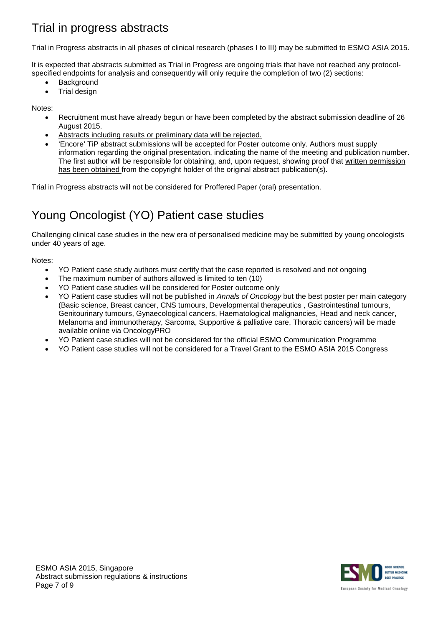# Trial in progress abstracts

Trial in Progress abstracts in all phases of clinical research (phases I to III) may be submitted to ESMO ASIA 2015.

It is expected that abstracts submitted as Trial in Progress are ongoing trials that have not reached any protocolspecified endpoints for analysis and consequently will only require the completion of two (2) sections:

- **Background**
- Trial design

Notes:

- Recruitment must have already begun or have been completed by the abstract submission deadline of 26 August 2015.
- Abstracts including results or preliminary data will be rejected.
- 'Encore' TiP abstract submissions will be accepted for Poster outcome only. Authors must supply information regarding the original presentation, indicating the name of the meeting and publication number. The first author will be responsible for obtaining, and, upon request, showing proof that written permission has been obtained from the copyright holder of the original abstract publication(s).

Trial in Progress abstracts will not be considered for Proffered Paper (oral) presentation.

# Young Oncologist (YO) Patient case studies

Challenging clinical case studies in the new era of personalised medicine may be submitted by young oncologists under 40 years of age.

Notes:

- YO Patient case study authors must certify that the case reported is resolved and not ongoing
- The maximum number of authors allowed is limited to ten (10)
- YO Patient case studies will be considered for Poster outcome only
- YO Patient case studies will not be published in *Annals of Oncology* but the best poster per main category (Basic science, Breast cancer, CNS tumours, Developmental therapeutics , Gastrointestinal tumours, Genitourinary tumours, Gynaecological cancers, Haematological malignancies, Head and neck cancer, Melanoma and immunotherapy, Sarcoma, Supportive & palliative care, Thoracic cancers) will be made available online via OncologyPRO
- YO Patient case studies will not be considered for the official ESMO Communication Programme
- YO Patient case studies will not be considered for a Travel Grant to the ESMO ASIA 2015 Congress

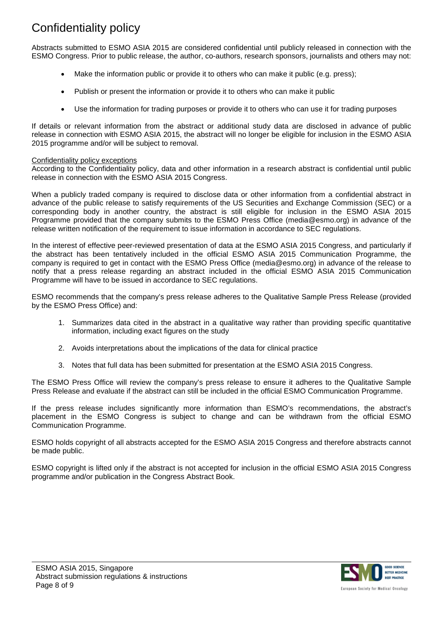# Confidentiality policy

Abstracts submitted to ESMO ASIA 2015 are considered confidential until publicly released in connection with the ESMO Congress. Prior to public release, the author, co-authors, research sponsors, journalists and others may not:

- Make the information public or provide it to others who can make it public (e.g. press);
- Publish or present the information or provide it to others who can make it public
- Use the information for trading purposes or provide it to others who can use it for trading purposes

If details or relevant information from the abstract or additional study data are disclosed in advance of public release in connection with ESMO ASIA 2015, the abstract will no longer be eligible for inclusion in the ESMO ASIA 2015 programme and/or will be subject to removal.

#### Confidentiality policy exceptions

According to the Confidentiality policy, data and other information in a research abstract is confidential until public release in connection with the ESMO ASIA 2015 Congress.

When a publicly traded company is required to disclose data or other information from a confidential abstract in advance of the public release to satisfy requirements of the US Securities and Exchange Commission (SEC) or a corresponding body in another country, the abstract is still eligible for inclusion in the ESMO ASIA 2015 Programme provided that the company submits to the ESMO Press Office (media@esmo.org) in advance of the release written notification of the requirement to issue information in accordance to SEC regulations.

In the interest of effective peer-reviewed presentation of data at the ESMO ASIA 2015 Congress, and particularly if the abstract has been tentatively included in the official ESMO ASIA 2015 Communication Programme, the company is required to get in contact with the ESMO Press Office (media@esmo.org) in advance of the release to notify that a press release regarding an abstract included in the official ESMO ASIA 2015 Communication Programme will have to be issued in accordance to SEC regulations.

ESMO recommends that the company's press release adheres to the Qualitative Sample Press Release (provided by the ESMO Press Office) and:

- 1. Summarizes data cited in the abstract in a qualitative way rather than providing specific quantitative information, including exact figures on the study
- 2. Avoids interpretations about the implications of the data for clinical practice
- 3. Notes that full data has been submitted for presentation at the ESMO ASIA 2015 Congress.

The ESMO Press Office will review the company's press release to ensure it adheres to the Qualitative Sample Press Release and evaluate if the abstract can still be included in the official ESMO Communication Programme.

If the press release includes significantly more information than ESMO's recommendations, the abstract's placement in the ESMO Congress is subject to change and can be withdrawn from the official ESMO Communication Programme.

ESMO holds copyright of all abstracts accepted for the ESMO ASIA 2015 Congress and therefore abstracts cannot be made public.

ESMO copyright is lifted only if the abstract is not accepted for inclusion in the official ESMO ASIA 2015 Congress programme and/or publication in the Congress Abstract Book.